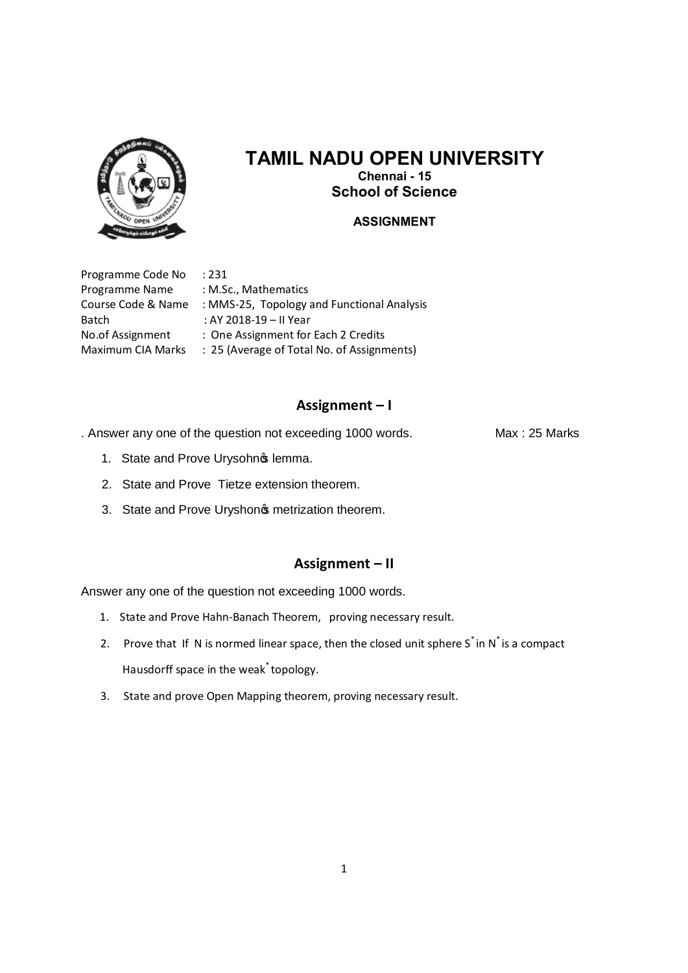

# **TAMIL NADU OPEN UNIVERSITY Chennai - 15 School of Science**

### **ASSIGNMENT**

Programme Code No : 231 Programme Name : M.Sc., Mathematics Batch : AY 2018-19 – II Year

Course Code & Name : MMS-25, Topology and Functional Analysis No.of Assignment : One Assignment for Each 2 Credits Maximum CIA Marks : 25 (Average of Total No. of Assignments)

#### **Assignment – I**

. Answer any one of the question not exceeding 1000 words. Max : 25 Marks

- 1. State and Prove Urysohnos lemma.
- 2. State and Prove Tietze extension theorem.
- 3. State and Prove Uryshon<sub>\$</sub> metrization theorem.

## **Assignment – II**

- 1. State and Prove Hahn-Banach Theorem, proving necessary result.
- 2. Prove that If N is normed linear space, then the closed unit sphere  $S^*$  in N<sup>\*</sup> is a compact Hausdorff space in the weak<sup>\*</sup> topology.
- 3. State and prove Open Mapping theorem, proving necessary result.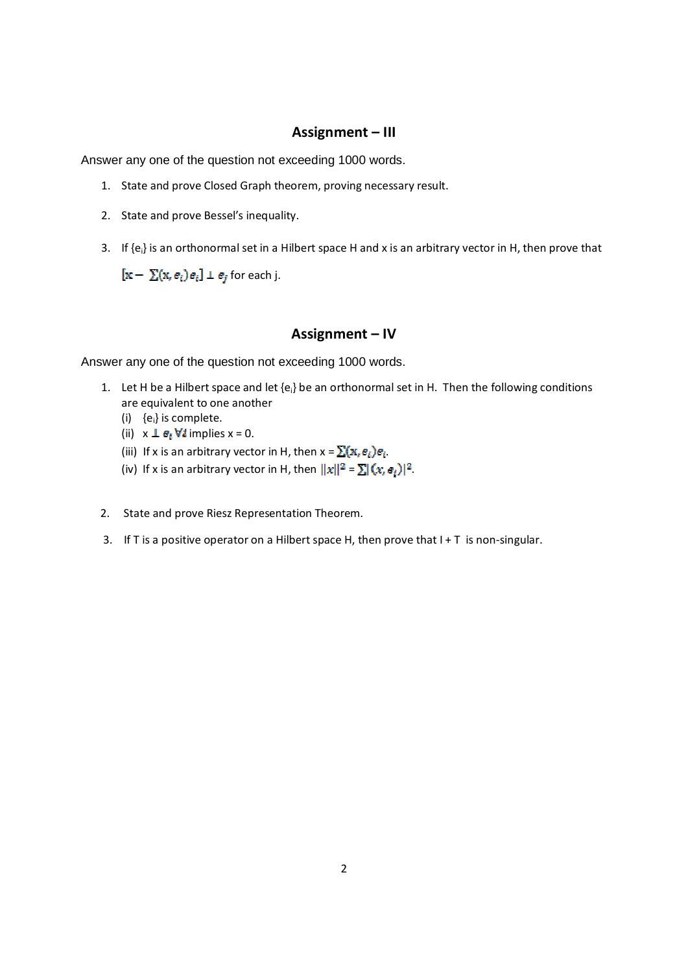## **Assignment – III**

Answer any one of the question not exceeding 1000 words.

- 1. State and prove Closed Graph theorem, proving necessary result.
- 2. State and prove Bessel's inequality.
- 3. If  ${e_i}$  is an orthonormal set in a Hilbert space H and x is an arbitrary vector in H, then prove that

 $[x - \sum (x, e_i)e_i] \perp e_i$  for each j.

#### **Assignment – IV**

- 1. Let H be a Hilbert space and let  ${e_i}$  be an orthonormal set in H. Then the following conditions are equivalent to one another
	- (i)  ${e_i}$  is complete.
	- (ii)  $x \perp e_i \forall i$  implies  $x = 0$ .
	- (iii) If x is an arbitrary vector in H, then  $x = \sum (x, e_i)e_i$ .
	- (iv) If x is an arbitrary vector in H, then  $||x||^2 = \sum |(x, e_i)|^2$ .
- 2. State and prove Riesz Representation Theorem.
- 3. If T is a positive operator on a Hilbert space H, then prove that  $I + T$  is non-singular.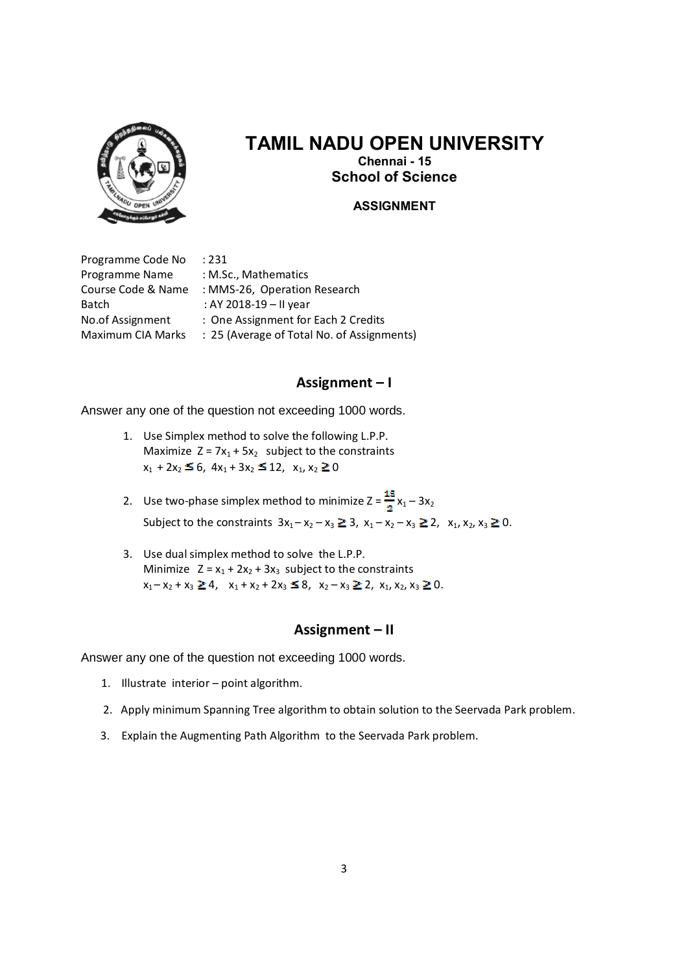

# **TAMIL NADU OPEN UNIVERSITY Chennai - 15**

**School of Science**

#### **ASSIGNMENT**

Programme Code No : 231 Programme Name : M.Sc., Mathematics Batch : AY 2018-19 – II year

Course Code & Name : MMS-26, Operation Research No.of Assignment : One Assignment for Each 2 Credits Maximum CIA Marks : 25 (Average of Total No. of Assignments)

### **Assignment – I**

Answer any one of the question not exceeding 1000 words.

- 1. Use Simplex method to solve the following L.P.P. Maximize  $Z = 7x_1 + 5x_2$  subject to the constraints  $x_1 + 2x_2 \leq 6$ ,  $4x_1 + 3x_2 \leq 12$ ,  $x_1, x_2 \geq 0$
- 2. Use two-phase simplex method to minimize  $Z = \frac{15}{3}x_1 3x_2$ Subject to the constraints  $3x_1 - x_2 - x_3 \ge 3$ ,  $x_1 - x_2 - x_3 \ge 2$ ,  $x_1, x_2, x_3 \ge 0$ .
- 3. Use dual simplex method to solve the L.P.P. Minimize  $Z = x_1 + 2x_2 + 3x_3$  subject to the constraints  $x_1 - x_2 + x_3 \ge 4$ ,  $x_1 + x_2 + 2x_3 \le 8$ ,  $x_2 - x_3 \ge 2$ ,  $x_1, x_2, x_3 \ge 0$ .

### **Assignment – II**

- 1. Illustrate interior point algorithm.
- 2. Apply minimum Spanning Tree algorithm to obtain solution to the Seervada Park problem.
- 3. Explain the Augmenting Path Algorithm to the Seervada Park problem.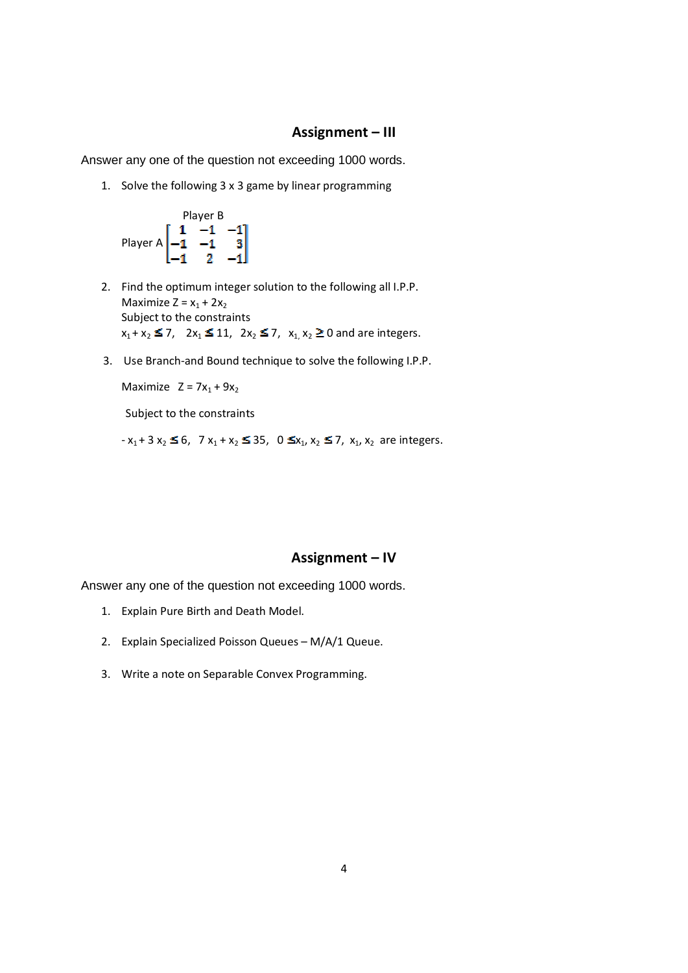#### **Assignment – III**

Answer any one of the question not exceeding 1000 words.

1. Solve the following 3 x 3 game by linear programming



- 2. Find the optimum integer solution to the following all I.P.P. Maximize  $Z = x_1 + 2x_2$ Subject to the constraints  $x_1 + x_2 \le 7$ ,  $2x_1 \le 11$ ,  $2x_2 \le 7$ ,  $x_1, x_2 \ge 0$  and are integers.
- 3. Use Branch-and Bound technique to solve the following I.P.P.

Maximize  $Z = 7x_1 + 9x_2$ 

Subject to the constraints

 $-x_1 + 3 x_2 \le 6$ ,  $7 x_1 + x_2 \le 35$ ,  $0 \le x_1, x_2 \le 7$ ,  $x_1, x_2$  are integers.

#### **Assignment – IV**

- 1. Explain Pure Birth and Death Model.
- 2. Explain Specialized Poisson Queues M/A/1 Queue.
- 3. Write a note on Separable Convex Programming.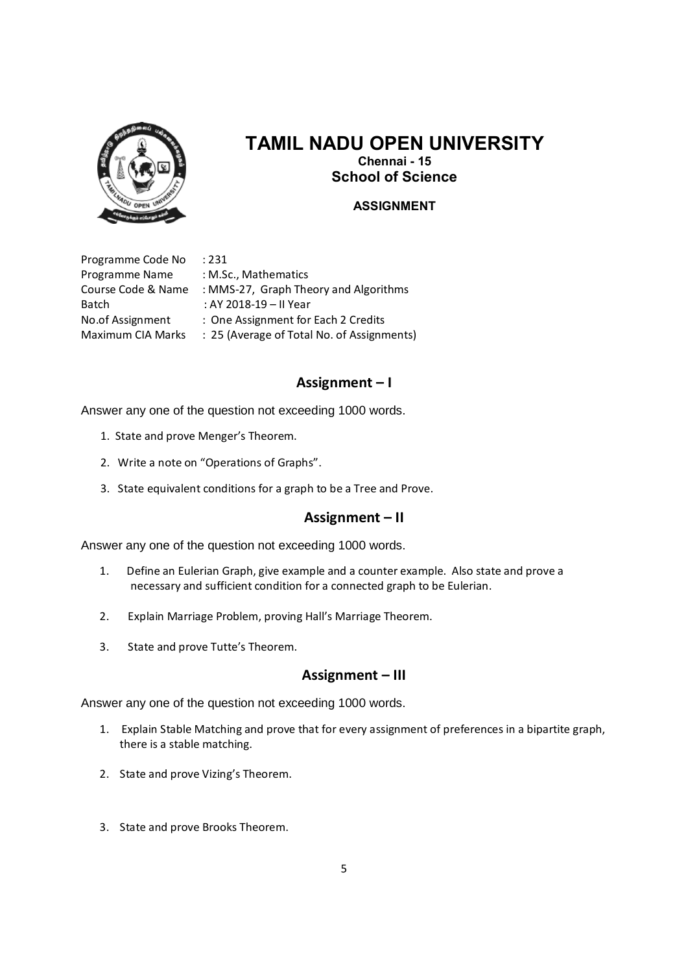

# **TAMIL NADU OPEN UNIVERSITY Chennai - 15**

**School of Science**

### **ASSIGNMENT**

Programme Code No : 231 Programme Name : M.Sc., Mathematics Batch : AY 2018-19 – II Year

Course Code & Name : MMS-27, Graph Theory and Algorithms No.of Assignment : One Assignment for Each 2 Credits Maximum CIA Marks : 25 (Average of Total No. of Assignments)

## **Assignment – I**

Answer any one of the question not exceeding 1000 words.

- 1. State and prove Menger's Theorem.
- 2. Write a note on "Operations of Graphs".
- 3. State equivalent conditions for a graph to be a Tree and Prove.

### **Assignment – II**

Answer any one of the question not exceeding 1000 words.

- 1. Define an Eulerian Graph, give example and a counter example. Also state and prove a necessary and sufficient condition for a connected graph to be Eulerian.
- 2. Explain Marriage Problem, proving Hall's Marriage Theorem.
- 3. State and prove Tutte's Theorem.

### **Assignment – III**

- 1. Explain Stable Matching and prove that for every assignment of preferences in a bipartite graph, there is a stable matching.
- 2. State and prove Vizing's Theorem.
- 3. State and prove Brooks Theorem.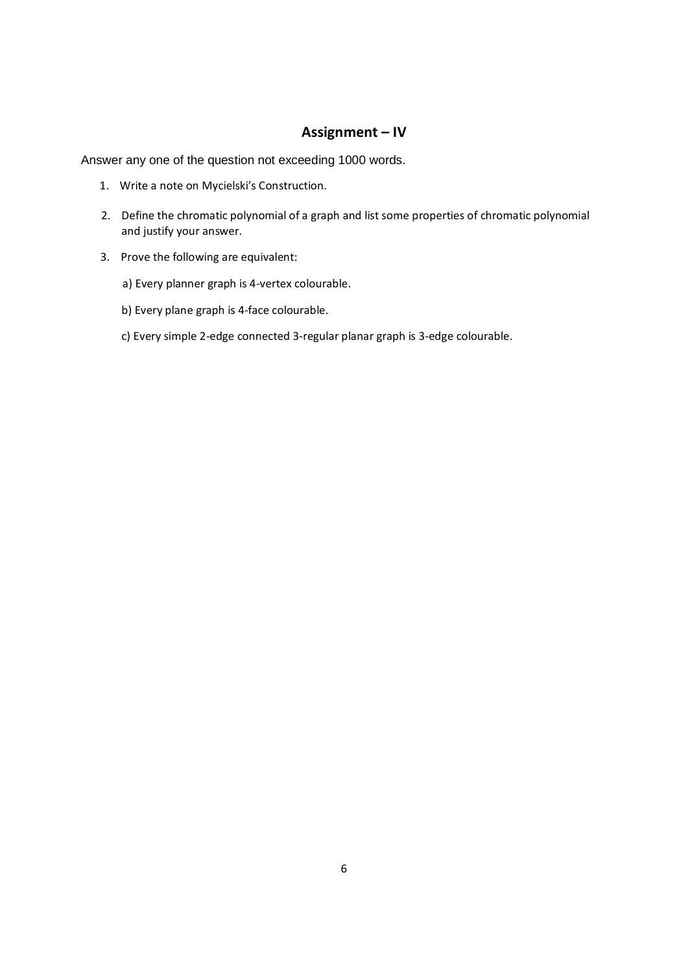## **Assignment – IV**

- 1. Write a note on Mycielski's Construction.
- 2. Define the chromatic polynomial of a graph and list some properties of chromatic polynomial and justify your answer.
- 3. Prove the following are equivalent:
	- a) Every planner graph is 4-vertex colourable.
	- b) Every plane graph is 4-face colourable.
	- c) Every simple 2-edge connected 3-regular planar graph is 3-edge colourable.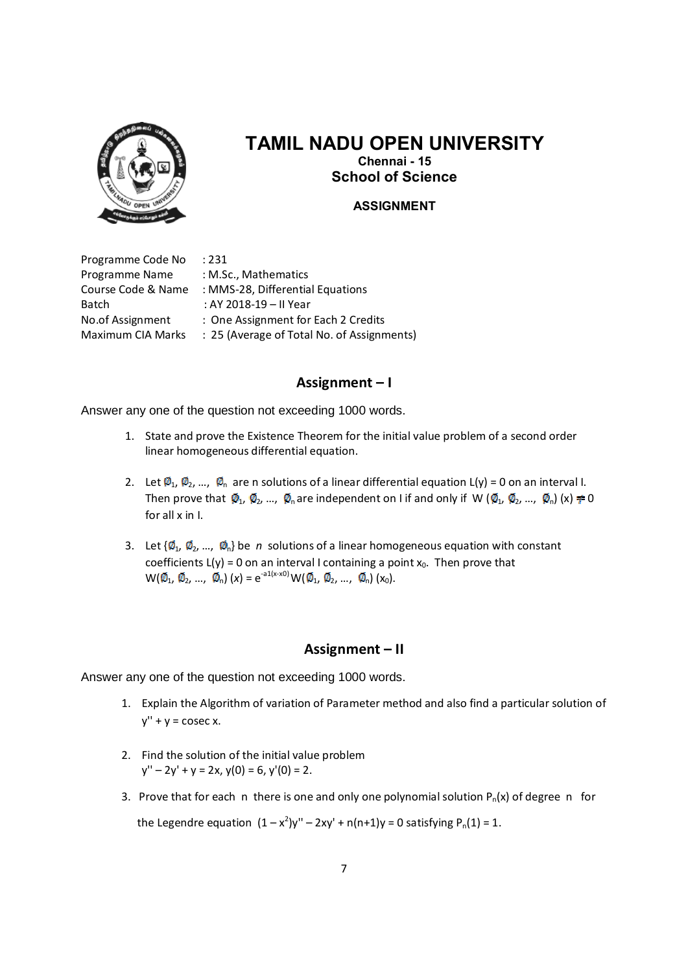

# **TAMIL NADU OPEN UNIVERSITY Chennai - 15 School of Science**

#### **ASSIGNMENT**

Programme Code No : 231 Programme Name : M.Sc., Mathematics Batch : AY 2018-19 – II Year

Course Code & Name : MMS-28, Differential Equations No.of Assignment : One Assignment for Each 2 Credits Maximum CIA Marks : 25 (Average of Total No. of Assignments)

#### **Assignment – I**

Answer any one of the question not exceeding 1000 words.

- 1. State and prove the Existence Theorem for the initial value problem of a second order linear homogeneous differential equation.
- 2. Let  $\emptyset_1$ ,  $\emptyset_2$ , ...,  $\emptyset_n$  are n solutions of a linear differential equation L(y) = 0 on an interval I. Then prove that  $\varphi_1$ ,  $\varphi_2$ , ...,  $\varphi_0$  are independent on I if and only if W ( $\varphi_1$ ,  $\varphi_2$ , ...,  $\varphi_0$ ) (x)  $\neq 0$ for all x in I.
- 3. Let  $\{\phi_1, \phi_2, ..., \phi_n\}$  be *n* solutions of a linear homogeneous equation with constant coefficients  $L(y) = 0$  on an interval I containing a point  $x_0$ . Then prove that  $W(\emptyset_1, \emptyset_2, ..., \emptyset_n)$  (x) = e<sup>-a1(x-x0)</sup> W( $\emptyset_1, \emptyset_2, ..., \emptyset_n$ ) (x<sub>0</sub>).

### **Assignment – II**

Answer any one of the question not exceeding 1000 words.

- 1. Explain the Algorithm of variation of Parameter method and also find a particular solution of  $v'' + v = \csc x$ .
- 2. Find the solution of the initial value problem  $y'' - 2y' + y = 2x$ ,  $y(0) = 6$ ,  $y'(0) = 2$ .
- 3. Prove that for each n there is one and only one polynomial solution  $P_n(x)$  of degree n for

the Legendre equation  $(1-x^2)y'' - 2xy' + n(n+1)y = 0$  satisfying  $P_n(1) = 1$ .